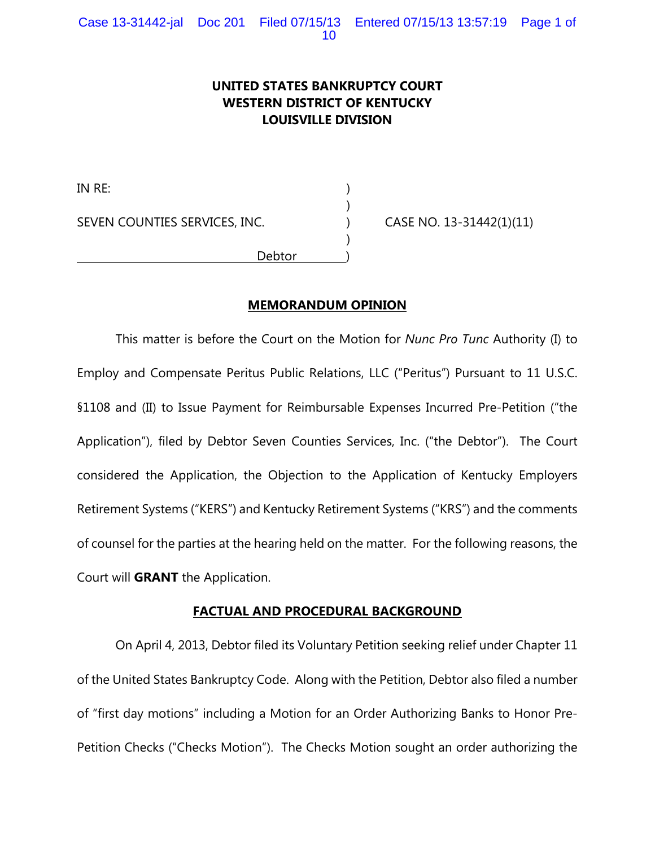# **UNITED STATES BANKRUPTCY COURT WESTERN DISTRICT OF KENTUCKY LOUISVILLE DIVISION**

)

)

IN RE: ) SEVEN COUNTIES SERVICES, INC. (a) CASE NO. 13-31442(1)(11) Debtor )

## **MEMORANDUM OPINION**

This matter is before the Court on the Motion for *Nunc Pro Tunc* Authority (I) to Employ and Compensate Peritus Public Relations, LLC ("Peritus") Pursuant to 11 U.S.C. §1108 and (II) to Issue Payment for Reimbursable Expenses Incurred Pre-Petition ("the Application"), filed by Debtor Seven Counties Services, Inc. ("the Debtor"). The Court considered the Application, the Objection to the Application of Kentucky Employers Retirement Systems ("KERS") and Kentucky Retirement Systems ("KRS") and the comments of counsel for the parties at the hearing held on the matter. For the following reasons, the Court will **GRANT** the Application.

#### **FACTUAL AND PROCEDURAL BACKGROUND**

On April 4, 2013, Debtor filed its Voluntary Petition seeking relief under Chapter 11 of the United States Bankruptcy Code. Along with the Petition, Debtor also filed a number of "first day motions" including a Motion for an Order Authorizing Banks to Honor Pre-Petition Checks ("Checks Motion"). The Checks Motion sought an order authorizing the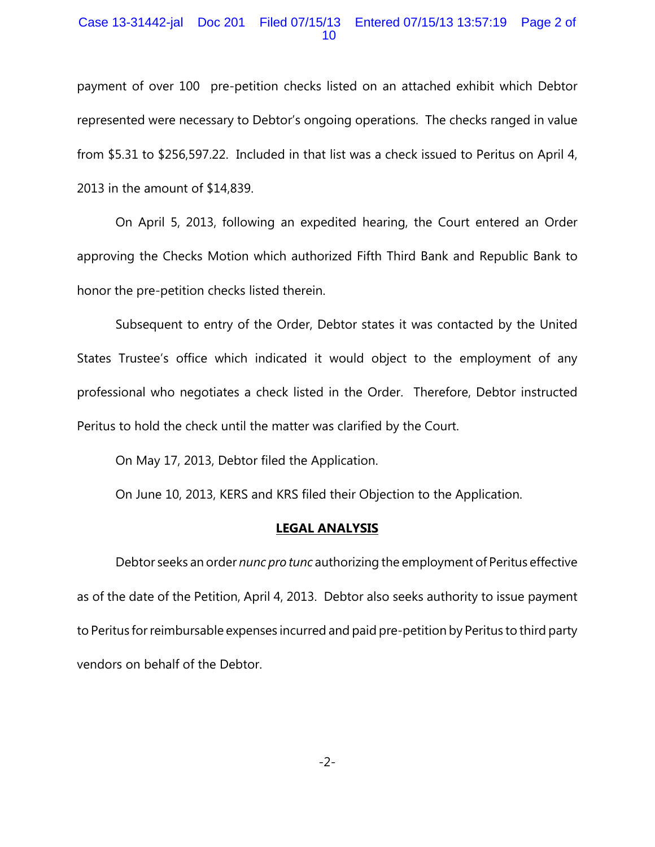### Case 13-31442-jal Doc 201 Filed 07/15/13 Entered 07/15/13 13:57:19 Page 2 of 10

payment of over 100 pre-petition checks listed on an attached exhibit which Debtor represented were necessary to Debtor's ongoing operations. The checks ranged in value from \$5.31 to \$256,597.22. Included in that list was a check issued to Peritus on April 4, 2013 in the amount of \$14,839.

On April 5, 2013, following an expedited hearing, the Court entered an Order approving the Checks Motion which authorized Fifth Third Bank and Republic Bank to honor the pre-petition checks listed therein.

Subsequent to entry of the Order, Debtor states it was contacted by the United States Trustee's office which indicated it would object to the employment of any professional who negotiates a check listed in the Order. Therefore, Debtor instructed Peritus to hold the check until the matter was clarified by the Court.

On May 17, 2013, Debtor filed the Application.

On June 10, 2013, KERS and KRS filed their Objection to the Application.

#### **LEGAL ANALYSIS**

Debtor seeks an order *nunc pro tunc* authorizing the employment of Peritus effective as of the date of the Petition, April 4, 2013. Debtor also seeks authority to issue payment to Peritus for reimbursable expenses incurred and paid pre-petition by Peritus to third party vendors on behalf of the Debtor.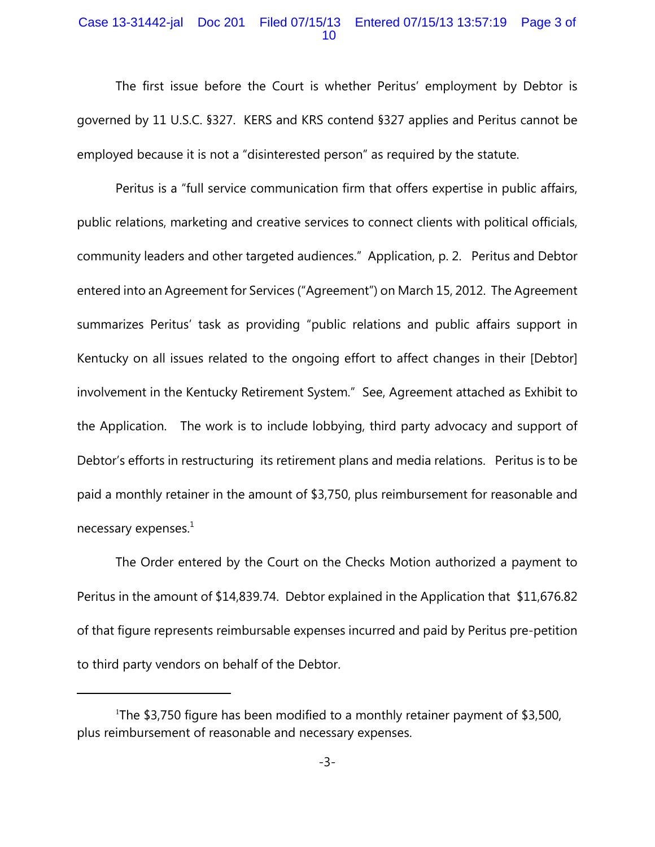## Case 13-31442-jal Doc 201 Filed 07/15/13 Entered 07/15/13 13:57:19 Page 3 of 10

The first issue before the Court is whether Peritus' employment by Debtor is governed by 11 U.S.C. §327. KERS and KRS contend §327 applies and Peritus cannot be employed because it is not a "disinterested person" as required by the statute.

Peritus is a "full service communication firm that offers expertise in public affairs, public relations, marketing and creative services to connect clients with political officials, community leaders and other targeted audiences." Application, p. 2. Peritus and Debtor entered into an Agreement for Services ("Agreement") on March 15, 2012. The Agreement summarizes Peritus' task as providing "public relations and public affairs support in Kentucky on all issues related to the ongoing effort to affect changes in their [Debtor] involvement in the Kentucky Retirement System." See, Agreement attached as Exhibit to the Application. The work is to include lobbying, third party advocacy and support of Debtor's efforts in restructuring its retirement plans and media relations. Peritus is to be paid a monthly retainer in the amount of \$3,750, plus reimbursement for reasonable and necessary expenses. $<sup>1</sup>$ </sup>

The Order entered by the Court on the Checks Motion authorized a payment to Peritus in the amount of \$14,839.74. Debtor explained in the Application that \$11,676.82 of that figure represents reimbursable expenses incurred and paid by Peritus pre-petition to third party vendors on behalf of the Debtor.

<sup>&</sup>lt;sup>1</sup>The \$3,750 figure has been modified to a monthly retainer payment of \$3,500, plus reimbursement of reasonable and necessary expenses.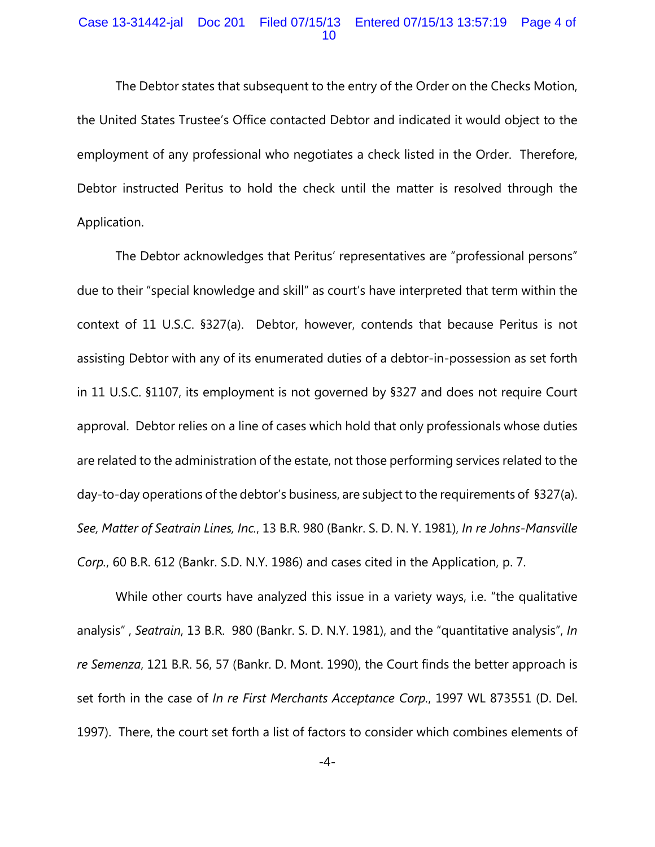### Case 13-31442-jal Doc 201 Filed 07/15/13 Entered 07/15/13 13:57:19 Page 4 of 10

The Debtor states that subsequent to the entry of the Order on the Checks Motion, the United States Trustee's Office contacted Debtor and indicated it would object to the employment of any professional who negotiates a check listed in the Order. Therefore, Debtor instructed Peritus to hold the check until the matter is resolved through the Application.

The Debtor acknowledges that Peritus' representatives are "professional persons" due to their "special knowledge and skill" as court's have interpreted that term within the context of 11 U.S.C. §327(a). Debtor, however, contends that because Peritus is not assisting Debtor with any of its enumerated duties of a debtor-in-possession as set forth in 11 U.S.C. §1107, its employment is not governed by §327 and does not require Court approval. Debtor relies on a line of cases which hold that only professionals whose duties are related to the administration of the estate, not those performing services related to the day-to-day operations of the debtor's business, are subject to the requirements of §327(a). *See, Matter of Seatrain Lines, Inc.*, 13 B.R. 980 (Bankr. S. D. N. Y. 1981), *In re Johns-Mansville Corp.*, 60 B.R. 612 (Bankr. S.D. N.Y. 1986) and cases cited in the Application, p. 7.

While other courts have analyzed this issue in a variety ways, i.e. "the qualitative analysis" , *Seatrain*, 13 B.R. 980 (Bankr. S. D. N.Y. 1981), and the "quantitative analysis", *In re Semenza*, 121 B.R. 56, 57 (Bankr. D. Mont. 1990), the Court finds the better approach is set forth in the case of *In re First Merchants Acceptance Corp.*, 1997 WL 873551 (D. Del. 1997). There, the court set forth a list of factors to consider which combines elements of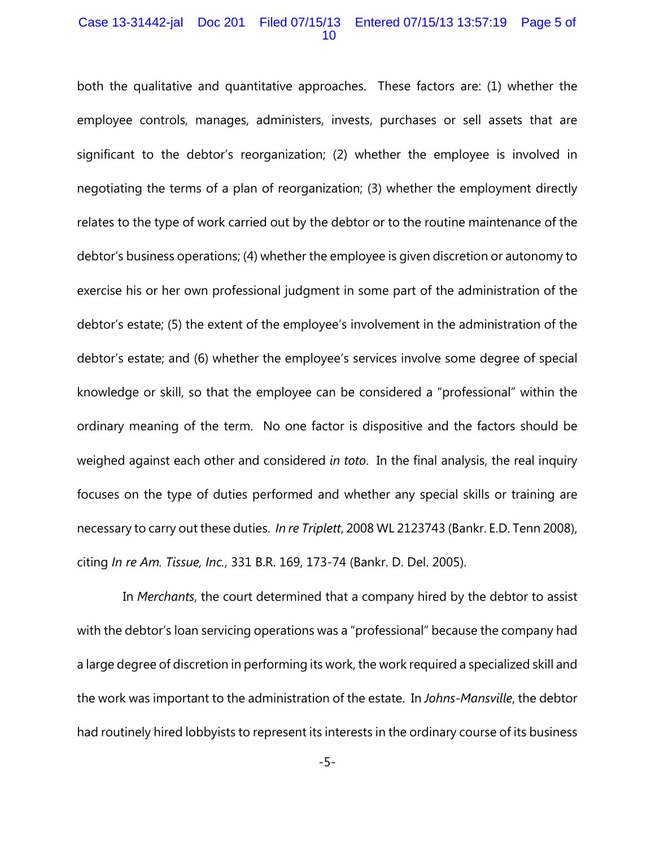#### Case 13-31442-jal Doc 201 Filed 07/15/13 Entered 07/15/13 13:57:19 Page 5 of 10

both the qualitative and quantitative approaches. These factors are: (1) whether the employee controls, manages, administers, invests, purchases or sell assets that are significant to the debtor's reorganization; (2) whether the employee is involved in negotiating the terms of a plan of reorganization; (3) whether the employment directly relates to the type of work carried out by the debtor or to the routine maintenance of the debtor's business operations; (4) whether the employee is given discretion or autonomy to exercise his or her own professional judgment in some part of the administration of the debtor's estate; (5) the extent of the employee's involvement in the administration of the debtor's estate; and (6) whether the employee's services involve some degree of special knowledge or skill, so that the employee can be considered a "professional" within the ordinary meaning of the term. No one factor is dispositive and the factors should be weighed against each other and considered *in toto*. In the final analysis, the real inquiry focuses on the type of duties performed and whether any special skills or training are necessary to carry out these duties. *In re Triplett*, 2008 WL 2123743 (Bankr. E.D. Tenn 2008), citing *In re Am. Tissue, Inc.*, 331 B.R. 169, 173-74 (Bankr. D. Del. 2005).

 In *Merchants*, the court determined that a company hired by the debtor to assist with the debtor's loan servicing operations was a "professional" because the company had a large degree of discretion in performing its work, the work required a specialized skill and the work was important to the administration of the estate. In *Johns-Mansville*, the debtor had routinely hired lobbyists to represent its interests in the ordinary course of its business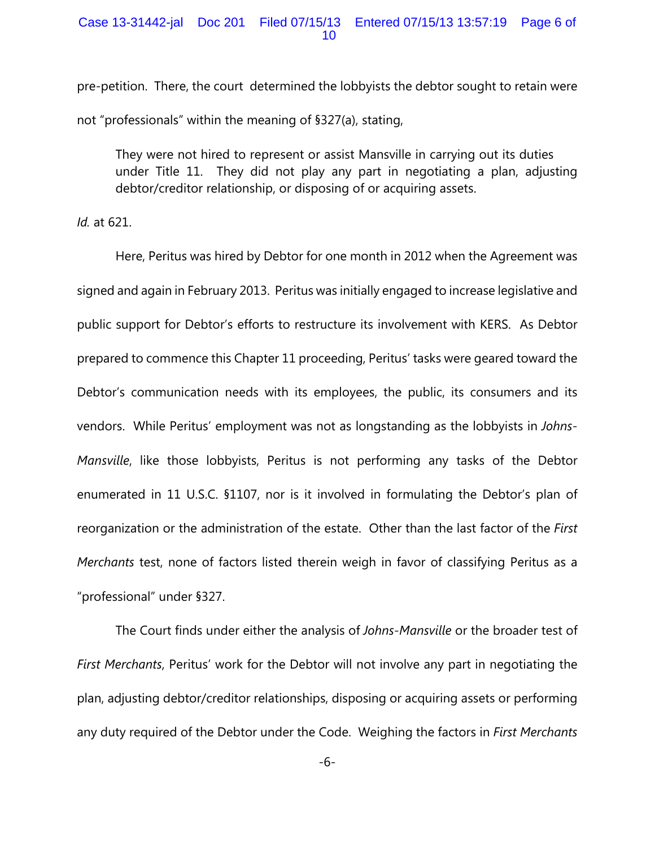pre-petition. There, the court determined the lobbyists the debtor sought to retain were not "professionals" within the meaning of §327(a), stating,

They were not hired to represent or assist Mansville in carrying out its duties under Title 11. They did not play any part in negotiating a plan, adjusting debtor/creditor relationship, or disposing of or acquiring assets.

*Id.* at 621.

Here, Peritus was hired by Debtor for one month in 2012 when the Agreement was signed and again in February 2013. Peritus was initially engaged to increase legislative and public support for Debtor's efforts to restructure its involvement with KERS. As Debtor prepared to commence this Chapter 11 proceeding, Peritus' tasks were geared toward the Debtor's communication needs with its employees, the public, its consumers and its vendors. While Peritus' employment was not as longstanding as the lobbyists in *Johns-Mansville*, like those lobbyists, Peritus is not performing any tasks of the Debtor enumerated in 11 U.S.C. §1107, nor is it involved in formulating the Debtor's plan of reorganization or the administration of the estate. Other than the last factor of the *First Merchants* test, none of factors listed therein weigh in favor of classifying Peritus as a "professional" under §327.

The Court finds under either the analysis of *Johns-Mansville* or the broader test of *First Merchants*, Peritus' work for the Debtor will not involve any part in negotiating the plan, adjusting debtor/creditor relationships, disposing or acquiring assets or performing any duty required of the Debtor under the Code. Weighing the factors in *First Merchants*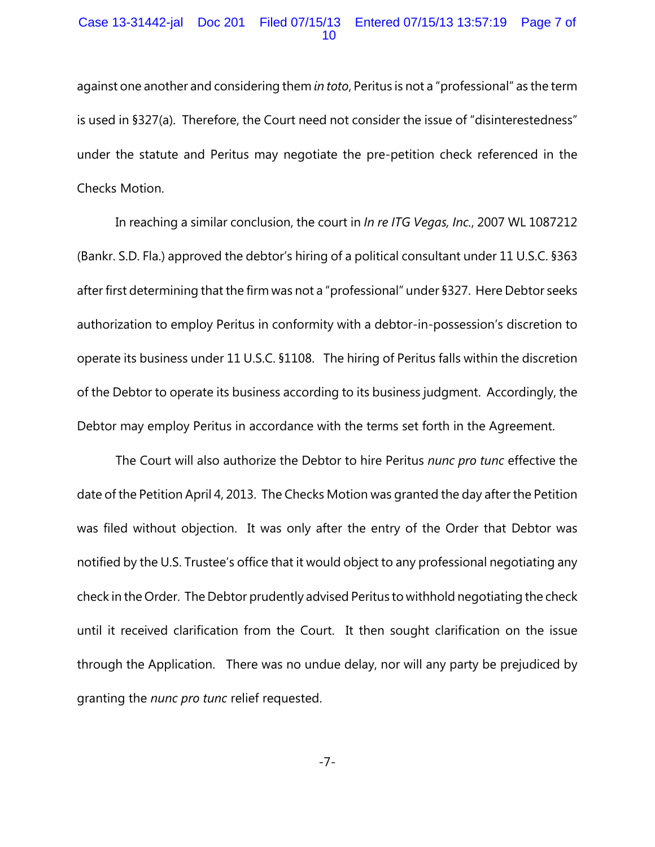### Case 13-31442-jal Doc 201 Filed 07/15/13 Entered 07/15/13 13:57:19 Page 7 of 10

against one another and considering them *in toto*, Peritus is not a "professional" as the term is used in §327(a). Therefore, the Court need not consider the issue of "disinterestedness" under the statute and Peritus may negotiate the pre-petition check referenced in the Checks Motion.

In reaching a similar conclusion, the court in *In re ITG Vegas, Inc.*, 2007 WL 1087212 (Bankr. S.D. Fla.) approved the debtor's hiring of a political consultant under 11 U.S.C. §363 after first determining that the firm was not a "professional" under §327. Here Debtor seeks authorization to employ Peritus in conformity with a debtor-in-possession's discretion to operate its business under 11 U.S.C. §1108. The hiring of Peritus falls within the discretion of the Debtor to operate its business according to its business judgment. Accordingly, the Debtor may employ Peritus in accordance with the terms set forth in the Agreement.

The Court will also authorize the Debtor to hire Peritus *nunc pro tunc* effective the date of the Petition April 4, 2013. The Checks Motion was granted the day after the Petition was filed without objection. It was only after the entry of the Order that Debtor was notified by the U.S. Trustee's office that it would object to any professional negotiating any check in the Order. The Debtor prudently advised Peritus to withhold negotiating the check until it received clarification from the Court. It then sought clarification on the issue through the Application. There was no undue delay, nor will any party be prejudiced by granting the *nunc pro tunc* relief requested.

-7-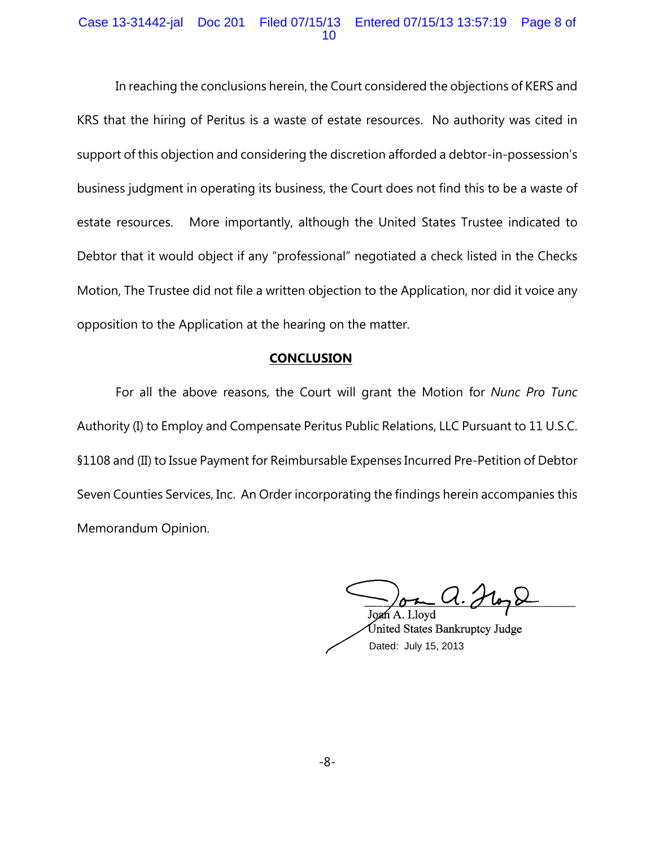## Case 13-31442-jal Doc 201 Filed 07/15/13 Entered 07/15/13 13:57:19 Page 8 of 10

In reaching the conclusions herein, the Court considered the objections of KERS and KRS that the hiring of Peritus is a waste of estate resources. No authority was cited in support of this objection and considering the discretion afforded a debtor-in-possession's business judgment in operating its business, the Court does not find this to be a waste of estate resources. More importantly, although the United States Trustee indicated to Debtor that it would object if any "professional" negotiated a check listed in the Checks Motion, The Trustee did not file a written objection to the Application, nor did it voice any opposition to the Application at the hearing on the matter.

### **CONCLUSION**

For all the above reasons, the Court will grant the Motion for *Nunc Pro Tunc* Authority (I) to Employ and Compensate Peritus Public Relations, LLC Pursuant to 11 U.S.C. §1108 and (II) to Issue Payment for Reimbursable Expenses Incurred Pre-Petition of Debtor Seven Counties Services, Inc. An Order incorporating the findings herein accompanies this Memorandum Opinion.

Jo**a**ń A. Llovd

Inited States Bankruptcy Judge Dated: July 15, 2013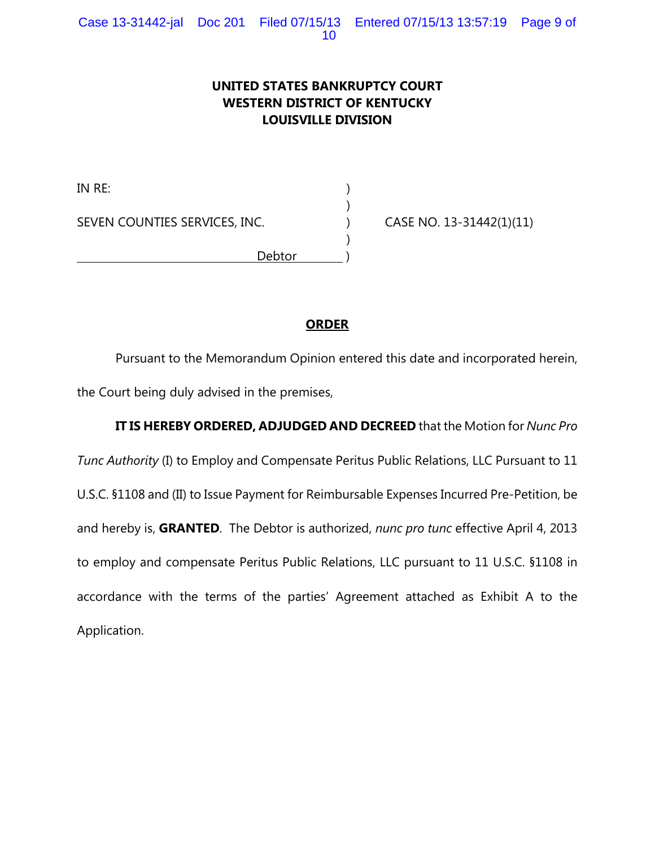# **UNITED STATES BANKRUPTCY COURT WESTERN DISTRICT OF KENTUCKY LOUISVILLE DIVISION**

)

 $\lambda$ 

IN RE: ) SEVEN COUNTIES SERVICES, INC. (a) CASE NO. 13-31442(1)(11) Debtor )

# **ORDER**

Pursuant to the Memorandum Opinion entered this date and incorporated herein, the Court being duly advised in the premises,

# **IT IS HEREBY ORDERED, ADJUDGED AND DECREED** that the Motion for *Nunc Pro*

*Tunc Authority* (I) to Employ and Compensate Peritus Public Relations, LLC Pursuant to 11 U.S.C. §1108 and (II) to Issue Payment for Reimbursable Expenses Incurred Pre-Petition, be and hereby is, **GRANTED**. The Debtor is authorized, *nunc pro tunc* effective April 4, 2013 to employ and compensate Peritus Public Relations, LLC pursuant to 11 U.S.C. §1108 in accordance with the terms of the parties' Agreement attached as Exhibit A to the Application.